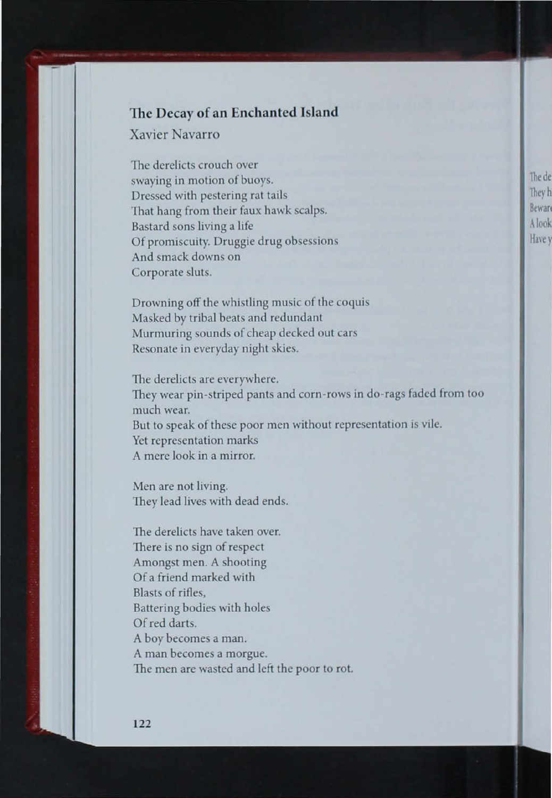## The Decay of an Enchanted Island

Xavier Navarro

The derelicts crouch over swaying in motion of buoys. Dressed with pestering rat tails That hang from their faux hawk scalps. Bastard sons living a life Of promiscuity. Druggie drug obsessions And smack downs on Corporate sluts.

Drowning off the whistling music of the coquis Masked by tribal beats and redundant Murmuring sounds of cheap decked out cars Resonate in everyday night skies.

The derelicts are everywhere. They wear pin-striped pants and corn-rows in do-rags faded from too much wear. But to speak of these poor men without representation is vile. Yet representation marks A mere look in a mirror.

Men are not living. They lead lives with dead ends.

The derelicts have taken over. There is no sign of respect Amongst men. A shooting Of a friend marked with Blasts of rifles. Battering bodies with holes Of red darts. A boy becomes a man. A man becomes a morgue. The men are wasted and left the poor to rot.